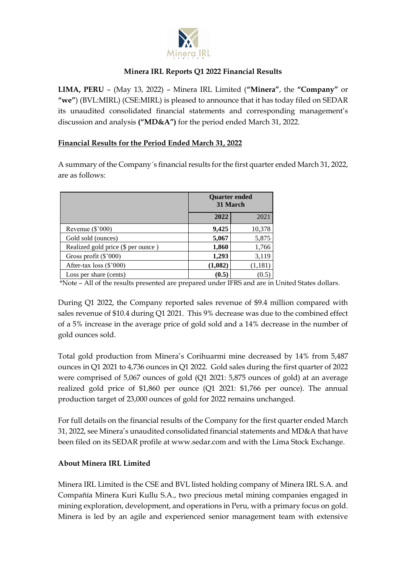

### **Minera IRL Reports Q1 2022 Financial Results**

**LIMA, PERU** – (May 13, 2022) – Minera IRL Limited (**"Minera"**, the **"Company"** or **"we"**) (BVL:MIRL) (CSE:MIRL) is pleased to announce that it has today filed on SEDAR its unaudited consolidated financial statements and corresponding management's discussion and analysis **("MD&A")** for the period ended March 31, 2022.

## **Financial Results for the Period Ended March 31, 2022**

A summary of the Company´s financial results for the first quarter ended March 31, 2022, are as follows:

|                                    |         | <b>Ouarter ended</b><br>31 March |  |
|------------------------------------|---------|----------------------------------|--|
|                                    | 2022    | 2021                             |  |
| Revenue $(\$'000)$                 | 9,425   | 10,378                           |  |
| Gold sold (ounces)                 | 5,067   | 5,875                            |  |
| Realized gold price (\$ per ounce) | 1,860   | 1,766                            |  |
| Gross profit (\$'000)              | 1,293   | 3,119                            |  |
| After-tax loss $(\$'000)$          | (1,082) | (1, 181)                         |  |
| Loss per share (cents)             | (0.5)   |                                  |  |

\*Note – All of the results presented are prepared under IFRS and are in United States dollars.

During Q1 2022, the Company reported sales revenue of \$9.4 million compared with sales revenue of \$10.4 during Q1 2021. This 9% decrease was due to the combined effect of a 5% increase in the average price of gold sold and a 14% decrease in the number of gold ounces sold.

Total gold production from Minera's Corihuarmi mine decreased by 14% from 5,487 ounces in Q1 2021 to 4,736 ounces in Q1 2022. Gold sales during the first quarter of 2022 were comprised of 5,067 ounces of gold (Q1 2021: 5,875 ounces of gold) at an average realized gold price of \$1,860 per ounce (Q1 2021: \$1,766 per ounce). The annual production target of 23,000 ounces of gold for 2022 remains unchanged.

For full details on the financial results of the Company for the first quarter ended March 31, 2022, see Minera's unaudited consolidated financial statements and MD&A that have been filed on its SEDAR profile at www.sedar.com and with the Lima Stock Exchange.

# **About Minera IRL Limited**

Minera IRL Limited is the CSE and BVL listed holding company of Minera IRL S.A. and Compañía Minera Kuri Kullu S.A., two precious metal mining companies engaged in mining exploration, development, and operations in Peru, with a primary focus on gold. Minera is led by an agile and experienced senior management team with extensive